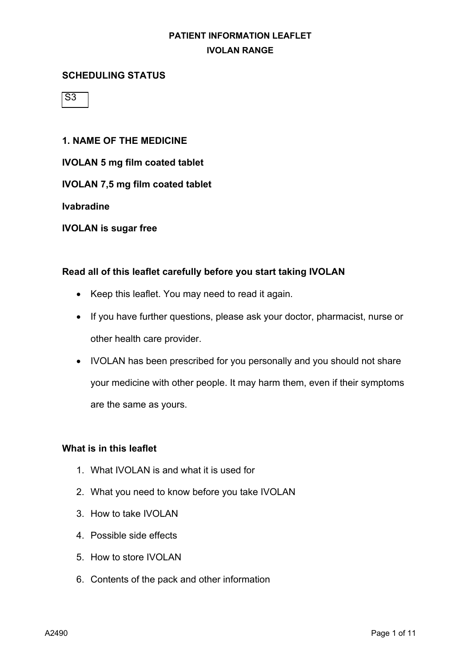### **SCHEDULING STATUS**

 $\overline{\mathsf{S3}}$ 

### **1. NAME OF THE MEDICINE**

**IVOLAN 5 mg film coated tablet**

**IVOLAN 7,5 mg film coated tablet**

**Ivabradine**

**IVOLAN is sugar free**

#### **Read all of this leaflet carefully before you start taking IVOLAN**

- Keep this leaflet. You may need to read it again.
- If you have further questions, please ask your doctor, pharmacist, nurse or other health care provider.
- IVOLAN has been prescribed for you personally and you should not share your medicine with other people. It may harm them, even if their symptoms are the same as yours.

### **What is in this leaflet**

- 1. What IVOLAN is and what it is used for
- 2. What you need to know before you take IVOLAN
- 3. How to take IVOLAN
- 4. Possible side effects
- 5. How to store IVOLAN
- 6. Contents of the pack and other information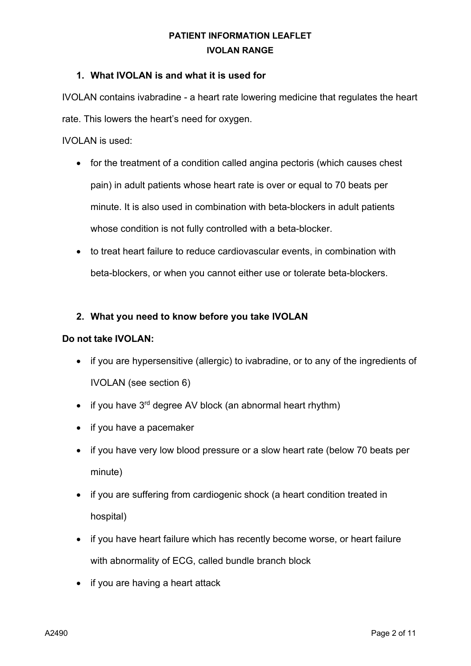### **1. What IVOLAN is and what it is used for**

IVOLAN contains ivabradine - a heart rate lowering medicine that regulates the heart rate. This lowers the heart's need for oxygen.

IVOLAN is used:

- for the treatment of a condition called angina pectoris (which causes chest pain) in adult patients whose heart rate is over or equal to 70 beats per minute. It is also used in combination with beta-blockers in adult patients whose condition is not fully controlled with a beta-blocker.
- to treat heart failure to reduce cardiovascular events, in combination with beta-blockers, or when you cannot either use or tolerate beta-blockers.

### **2. What you need to know before you take IVOLAN**

### **Do not take IVOLAN:**

- if you are hypersensitive (allergic) to ivabradine, or to any of the ingredients of IVOLAN (see section 6)
- if you have  $3<sup>rd</sup>$  degree AV block (an abnormal heart rhythm)
- if you have a pacemaker
- if you have very low blood pressure or a slow heart rate (below 70 beats per minute)
- if you are suffering from cardiogenic shock (a heart condition treated in hospital)
- if you have heart failure which has recently become worse, or heart failure with abnormality of ECG, called bundle branch block
- if you are having a heart attack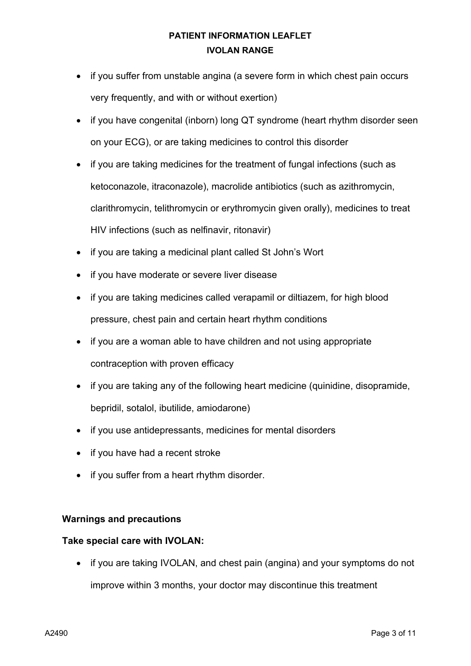- if you suffer from unstable angina (a severe form in which chest pain occurs very frequently, and with or without exertion)
- if you have congenital (inborn) long QT syndrome (heart rhythm disorder seen on your ECG), or are taking medicines to control this disorder
- if you are taking medicines for the treatment of fungal infections (such as ketoconazole, itraconazole), macrolide antibiotics (such as azithromycin, clarithromycin, telithromycin or erythromycin given orally), medicines to treat HIV infections (such as nelfinavir, ritonavir)
- if you are taking a medicinal plant called St John's Wort
- if you have moderate or severe liver disease
- if you are taking medicines called verapamil or diltiazem, for high blood pressure, chest pain and certain heart rhythm conditions
- if you are a woman able to have children and not using appropriate contraception with proven efficacy
- if you are taking any of the following heart medicine (quinidine, disopramide, bepridil, sotalol, ibutilide, amiodarone)
- if you use antidepressants, medicines for mental disorders
- if you have had a recent stroke
- if you suffer from a heart rhythm disorder.

### **Warnings and precautions**

### **Take special care with IVOLAN:**

• if you are taking IVOLAN, and chest pain (angina) and your symptoms do not improve within 3 months, your doctor may discontinue this treatment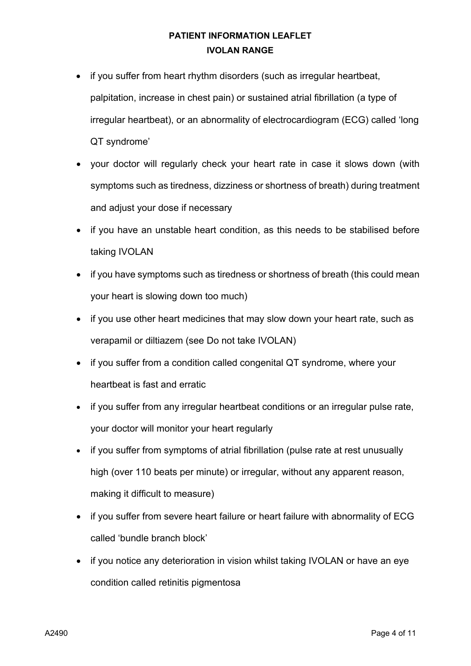- if you suffer from heart rhythm disorders (such as irregular heartbeat, palpitation, increase in chest pain) or sustained atrial fibrillation (a type of irregular heartbeat), or an abnormality of electrocardiogram (ECG) called 'long QT syndrome'
- your doctor will regularly check your heart rate in case it slows down (with symptoms such as tiredness, dizziness or shortness of breath) during treatment and adjust your dose if necessary
- if you have an unstable heart condition, as this needs to be stabilised before taking IVOLAN
- if you have symptoms such as tiredness or shortness of breath (this could mean your heart is slowing down too much)
- if you use other heart medicines that may slow down your heart rate, such as verapamil or diltiazem (see Do not take IVOLAN)
- if you suffer from a condition called congenital QT syndrome, where your heartbeat is fast and erratic
- if you suffer from any irregular heartbeat conditions or an irregular pulse rate, your doctor will monitor your heart regularly
- if you suffer from symptoms of atrial fibrillation (pulse rate at rest unusually high (over 110 beats per minute) or irregular, without any apparent reason, making it difficult to measure)
- if you suffer from severe heart failure or heart failure with abnormality of ECG called 'bundle branch block'
- if you notice any deterioration in vision whilst taking IVOLAN or have an eye condition called retinitis pigmentosa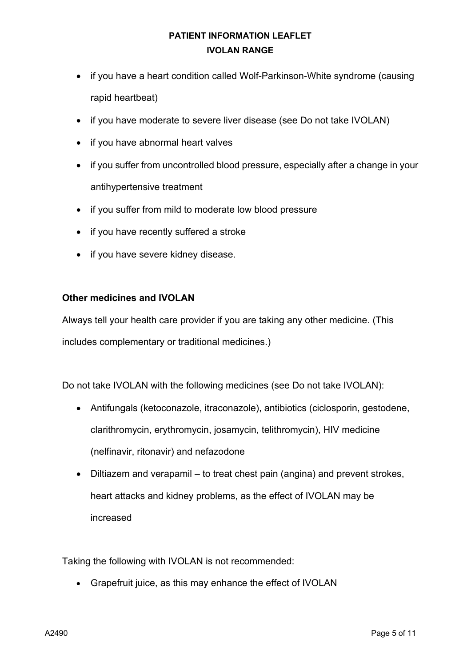- if you have a heart condition called Wolf-Parkinson-White syndrome (causing rapid heartbeat)
- if you have moderate to severe liver disease (see Do not take IVOLAN)
- if you have abnormal heart valves
- if you suffer from uncontrolled blood pressure, especially after a change in your antihypertensive treatment
- if you suffer from mild to moderate low blood pressure
- if you have recently suffered a stroke
- if you have severe kidney disease.

### **Other medicines and IVOLAN**

Always tell your health care provider if you are taking any other medicine. (This includes complementary or traditional medicines.)

Do not take IVOLAN with the following medicines (see Do not take IVOLAN):

- Antifungals (ketoconazole, itraconazole), antibiotics (ciclosporin, gestodene, clarithromycin, erythromycin, josamycin, telithromycin), HIV medicine (nelfinavir, ritonavir) and nefazodone
- Diltiazem and verapamil to treat chest pain (angina) and prevent strokes, heart attacks and kidney problems, as the effect of IVOLAN may be increased

Taking the following with IVOLAN is not recommended:

• Grapefruit juice, as this may enhance the effect of IVOLAN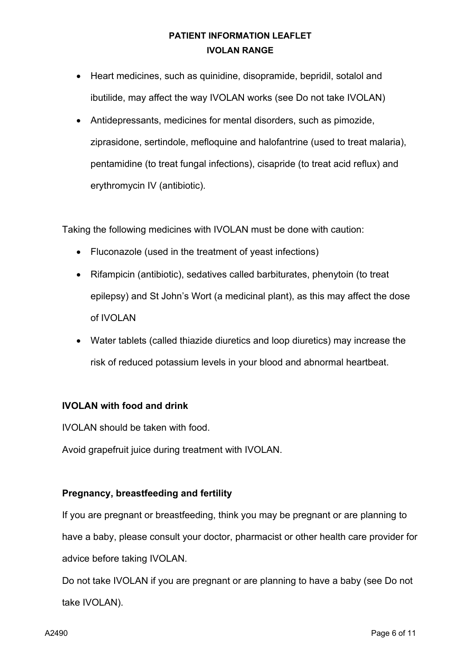- Heart medicines, such as quinidine, disopramide, bepridil, sotalol and ibutilide, may affect the way IVOLAN works (see Do not take IVOLAN)
- Antidepressants, medicines for mental disorders, such as pimozide, ziprasidone, sertindole, mefloquine and halofantrine (used to treat malaria), pentamidine (to treat fungal infections), cisapride (to treat acid reflux) and erythromycin IV (antibiotic).

Taking the following medicines with IVOLAN must be done with caution:

- Fluconazole (used in the treatment of yeast infections)
- Rifampicin (antibiotic), sedatives called barbiturates, phenytoin (to treat epilepsy) and St John's Wort (a medicinal plant), as this may affect the dose of IVOLAN
- Water tablets (called thiazide diuretics and loop diuretics) may increase the risk of reduced potassium levels in your blood and abnormal heartbeat.

### **IVOLAN with food and drink**

IVOLAN should be taken with food.

Avoid grapefruit juice during treatment with IVOLAN.

### **Pregnancy, breastfeeding and fertility**

If you are pregnant or breastfeeding, think you may be pregnant or are planning to have a baby, please consult your doctor, pharmacist or other health care provider for advice before taking IVOLAN.

Do not take IVOLAN if you are pregnant or are planning to have a baby (see Do not take IVOLAN).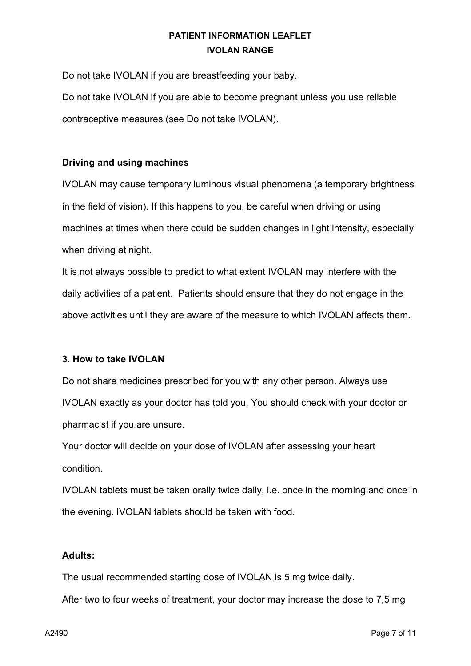Do not take IVOLAN if you are breastfeeding your baby. Do not take IVOLAN if you are able to become pregnant unless you use reliable contraceptive measures (see Do not take IVOLAN).

### **Driving and using machines**

IVOLAN may cause temporary luminous visual phenomena (a temporary brightness in the field of vision). If this happens to you, be careful when driving or using machines at times when there could be sudden changes in light intensity, especially when driving at night.

It is not always possible to predict to what extent IVOLAN may interfere with the daily activities of a patient. Patients should ensure that they do not engage in the above activities until they are aware of the measure to which IVOLAN affects them.

### **3. How to take IVOLAN**

Do not share medicines prescribed for you with any other person. Always use IVOLAN exactly as your doctor has told you. You should check with your doctor or pharmacist if you are unsure.

Your doctor will decide on your dose of IVOLAN after assessing your heart condition.

IVOLAN tablets must be taken orally twice daily, i.e. once in the morning and once in the evening. IVOLAN tablets should be taken with food.

### **Adults:**

The usual recommended starting dose of IVOLAN is 5 mg twice daily.

After two to four weeks of treatment, your doctor may increase the dose to 7,5 mg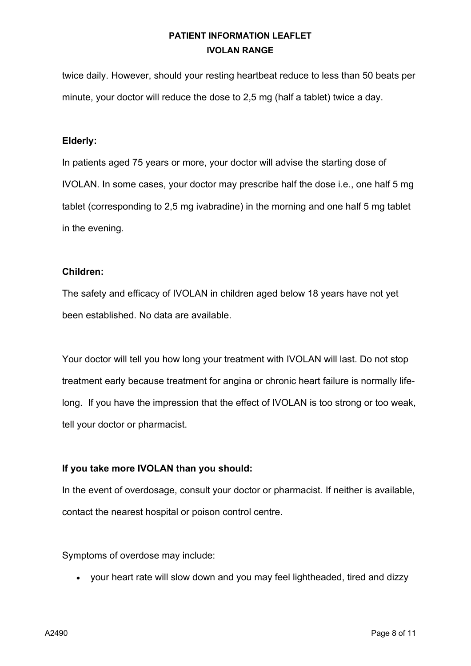twice daily. However, should your resting heartbeat reduce to less than 50 beats per minute, your doctor will reduce the dose to 2,5 mg (half a tablet) twice a day.

### **Elderly:**

In patients aged 75 years or more, your doctor will advise the starting dose of IVOLAN. In some cases, your doctor may prescribe half the dose i.e., one half 5 mg tablet (corresponding to 2,5 mg ivabradine) in the morning and one half 5 mg tablet in the evening.

#### **Children:**

The safety and efficacy of IVOLAN in children aged below 18 years have not yet been established. No data are available.

Your doctor will tell you how long your treatment with IVOLAN will last. Do not stop treatment early because treatment for angina or chronic heart failure is normally lifelong. If you have the impression that the effect of IVOLAN is too strong or too weak, tell your doctor or pharmacist.

### **If you take more IVOLAN than you should:**

In the event of overdosage, consult your doctor or pharmacist. If neither is available, contact the nearest hospital or poison control centre.

Symptoms of overdose may include:

• your heart rate will slow down and you may feel lightheaded, tired and dizzy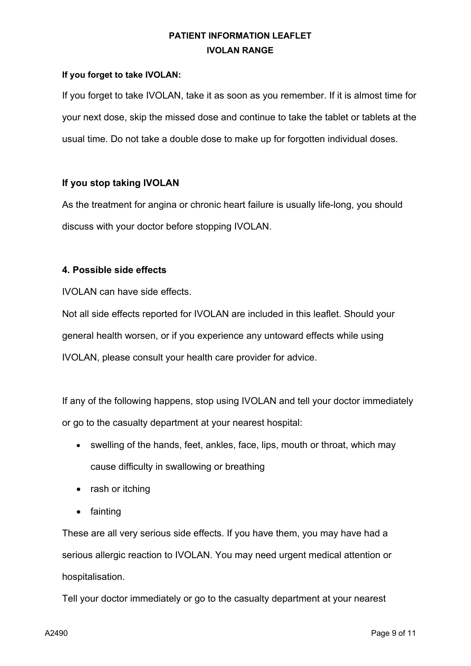### **If you forget to take IVOLAN:**

If you forget to take IVOLAN, take it as soon as you remember. If it is almost time for your next dose, skip the missed dose and continue to take the tablet or tablets at the usual time. Do not take a double dose to make up for forgotten individual doses.

### **If you stop taking IVOLAN**

As the treatment for angina or chronic heart failure is usually life-long, you should discuss with your doctor before stopping IVOLAN.

### **4. Possible side effects**

IVOLAN can have side effects.

Not all side effects reported for IVOLAN are included in this leaflet. Should your general health worsen, or if you experience any untoward effects while using IVOLAN, please consult your health care provider for advice.

If any of the following happens, stop using IVOLAN and tell your doctor immediately or go to the casualty department at your nearest hospital:

- swelling of the hands, feet, ankles, face, lips, mouth or throat, which may cause difficulty in swallowing or breathing
- rash or itching
- fainting

These are all very serious side effects. If you have them, you may have had a serious allergic reaction to IVOLAN. You may need urgent medical attention or hospitalisation.

Tell your doctor immediately or go to the casualty department at your nearest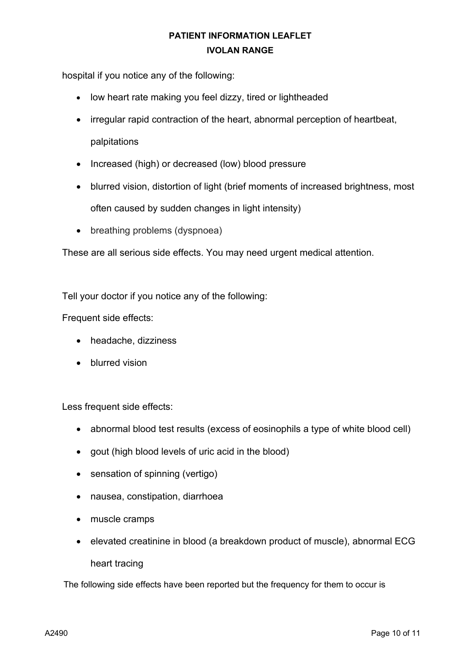hospital if you notice any of the following:

- low heart rate making you feel dizzy, tired or lightheaded
- irregular rapid contraction of the heart, abnormal perception of heartbeat, palpitations
- Increased (high) or decreased (low) blood pressure
- blurred vision, distortion of light (brief moments of increased brightness, most often caused by sudden changes in light intensity)
- breathing problems (dyspnoea)

These are all serious side effects. You may need urgent medical attention.

Tell your doctor if you notice any of the following:

Frequent side effects:

- headache, dizziness
- blurred vision

Less frequent side effects:

- abnormal blood test results (excess of eosinophils a type of white blood cell)
- gout (high blood levels of uric acid in the blood)
- sensation of spinning (vertigo)
- nausea, constipation, diarrhoea
- muscle cramps
- elevated creatinine in blood (a breakdown product of muscle), abnormal ECG heart tracing

The following side effects have been reported but the frequency for them to occur is